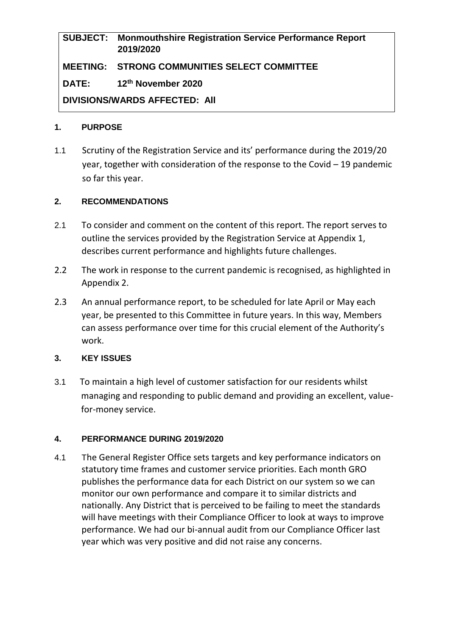# **SUBJECT: Monmouthshire Registration Service Performance Report 2019/2020 MEETING: STRONG COMMUNITIES SELECT COMMITTEE DATE: 12th November 2020 DIVISIONS/WARDS AFFECTED: All**

#### **1. PURPOSE**

1.1 Scrutiny of the Registration Service and its' performance during the 2019/20 year, together with consideration of the response to the Covid – 19 pandemic so far this year.

#### **2. RECOMMENDATIONS**

- 2.1 To consider and comment on the content of this report. The report serves to outline the services provided by the Registration Service at Appendix 1, describes current performance and highlights future challenges.
- 2.2 The work in response to the current pandemic is recognised, as highlighted in Appendix 2.
- 2.3 An annual performance report, to be scheduled for late April or May each year, be presented to this Committee in future years. In this way, Members can assess performance over time for this crucial element of the Authority's work.

## **3. KEY ISSUES**

3.1 To maintain a high level of customer satisfaction for our residents whilst managing and responding to public demand and providing an excellent, valuefor-money service.

## **4. PERFORMANCE DURING 2019/2020**

4.1 The General Register Office sets targets and key performance indicators on statutory time frames and customer service priorities. Each month GRO publishes the performance data for each District on our system so we can monitor our own performance and compare it to similar districts and nationally. Any District that is perceived to be failing to meet the standards will have meetings with their Compliance Officer to look at ways to improve performance. We had our bi-annual audit from our Compliance Officer last year which was very positive and did not raise any concerns.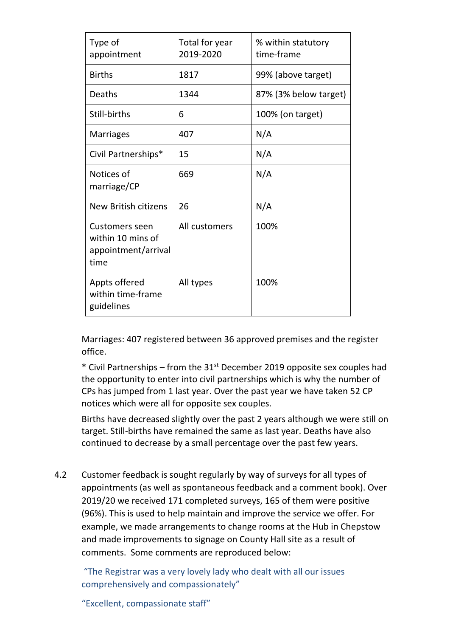| Type of<br>appointment                                                    | Total for year<br>2019-2020 | % within statutory<br>time-frame |
|---------------------------------------------------------------------------|-----------------------------|----------------------------------|
| <b>Births</b>                                                             | 1817                        | 99% (above target)               |
| Deaths                                                                    | 1344                        | 87% (3% below target)            |
| Still-births                                                              | 6                           | 100% (on target)                 |
| <b>Marriages</b>                                                          | 407                         | N/A                              |
| Civil Partnerships*                                                       | 15                          | N/A                              |
| Notices of<br>marriage/CP                                                 | 669                         | N/A                              |
| New British citizens                                                      | 26                          | N/A                              |
| <b>Customers seen</b><br>within 10 mins of<br>appointment/arrival<br>time | All customers               | 100%                             |
| Appts offered<br>within time-frame<br>guidelines                          | All types                   | 100%                             |

Marriages: 407 registered between 36 approved premises and the register office.

\* Civil Partnerships – from the  $31<sup>st</sup>$  December 2019 opposite sex couples had the opportunity to enter into civil partnerships which is why the number of CPs has jumped from 1 last year. Over the past year we have taken 52 CP notices which were all for opposite sex couples.

Births have decreased slightly over the past 2 years although we were still on target. Still-births have remained the same as last year. Deaths have also continued to decrease by a small percentage over the past few years.

4.2 Customer feedback is sought regularly by way of surveys for all types of appointments (as well as spontaneous feedback and a comment book). Over 2019/20 we received 171 completed surveys, 165 of them were positive (96%). This is used to help maintain and improve the service we offer. For example, we made arrangements to change rooms at the Hub in Chepstow and made improvements to signage on County Hall site as a result of comments. Some comments are reproduced below:

"The Registrar was a very lovely lady who dealt with all our issues comprehensively and compassionately"

"Excellent, compassionate staff"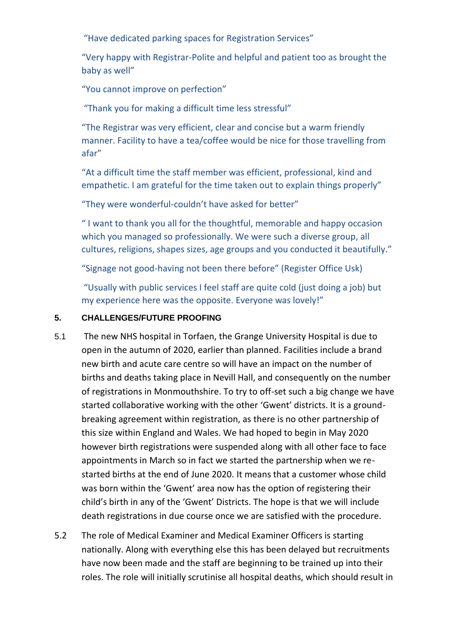"Have dedicated parking spaces for Registration Services"

"Very happy with Registrar-Polite and helpful and patient too as brought the baby as well"

"You cannot improve on perfection"

"Thank you for making a difficult time less stressful"

"The Registrar was very efficient, clear and concise but a warm friendly manner. Facility to have a tea/coffee would be nice for those travelling from afar"

"At a difficult time the staff member was efficient, professional, kind and empathetic. I am grateful for the time taken out to explain things properly"

"They were wonderful-couldn't have asked for better"

" I want to thank you all for the thoughtful, memorable and happy occasion which you managed so professionally. We were such a diverse group, all cultures, religions, shapes sizes, age groups and you conducted it beautifully."

"Signage not good-having not been there before" (Register Office Usk)

"Usually with public services I feel staff are quite cold (just doing a job) but my experience here was the opposite. Everyone was lovely!"

## **5. CHALLENGES/FUTURE PROOFING**

- 5.1 The new NHS hospital in Torfaen, the Grange University Hospital is due to open in the autumn of 2020, earlier than planned. Facilities include a brand new birth and acute care centre so will have an impact on the number of births and deaths taking place in Nevill Hall, and consequently on the number of registrations in Monmouthshire. To try to off-set such a big change we have started collaborative working with the other 'Gwent' districts. It is a groundbreaking agreement within registration, as there is no other partnership of this size within England and Wales. We had hoped to begin in May 2020 however birth registrations were suspended along with all other face to face appointments in March so in fact we started the partnership when we restarted births at the end of June 2020. It means that a customer whose child was born within the 'Gwent' area now has the option of registering their child's birth in any of the 'Gwent' Districts. The hope is that we will include death registrations in due course once we are satisfied with the procedure.
- 5.2 The role of Medical Examiner and Medical Examiner Officers is starting nationally. Along with everything else this has been delayed but recruitments have now been made and the staff are beginning to be trained up into their roles. The role will initially scrutinise all hospital deaths, which should result in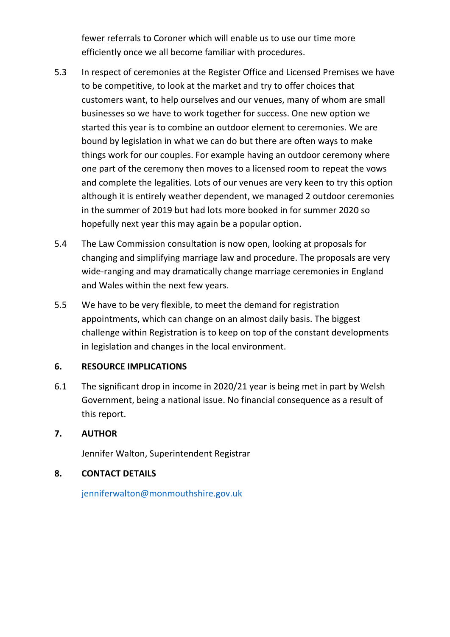fewer referrals to Coroner which will enable us to use our time more efficiently once we all become familiar with procedures.

- 5.3 In respect of ceremonies at the Register Office and Licensed Premises we have to be competitive, to look at the market and try to offer choices that customers want, to help ourselves and our venues, many of whom are small businesses so we have to work together for success. One new option we started this year is to combine an outdoor element to ceremonies. We are bound by legislation in what we can do but there are often ways to make things work for our couples. For example having an outdoor ceremony where one part of the ceremony then moves to a licensed room to repeat the vows and complete the legalities. Lots of our venues are very keen to try this option although it is entirely weather dependent, we managed 2 outdoor ceremonies in the summer of 2019 but had lots more booked in for summer 2020 so hopefully next year this may again be a popular option.
- 5.4 The Law Commission consultation is now open, looking at proposals for changing and simplifying marriage law and procedure. The proposals are very wide-ranging and may dramatically change marriage ceremonies in England and Wales within the next few years.
- 5.5 We have to be very flexible, to meet the demand for registration appointments, which can change on an almost daily basis. The biggest challenge within Registration is to keep on top of the constant developments in legislation and changes in the local environment.

## **6. RESOURCE IMPLICATIONS**

6.1 The significant drop in income in 2020/21 year is being met in part by Welsh Government, being a national issue. No financial consequence as a result of this report.

## **7. AUTHOR**

Jennifer Walton, Superintendent Registrar

## **8. CONTACT DETAILS**

[jenniferwalton@monmouthshire.gov.uk](mailto:jenniferwalton@monmouthshire.gov.uk)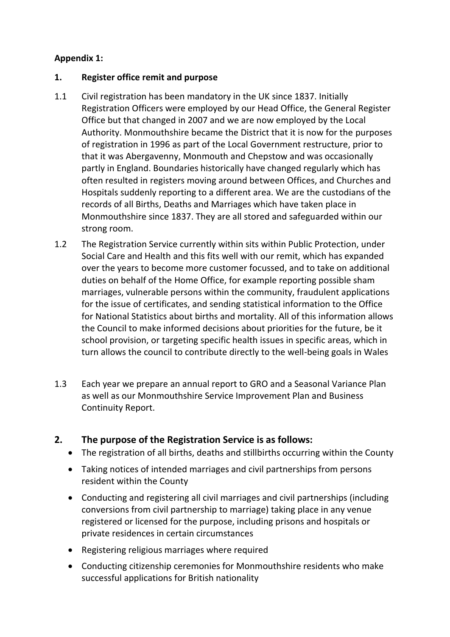# **Appendix 1:**

## **1. Register office remit and purpose**

- 1.1 Civil registration has been mandatory in the UK since 1837. Initially Registration Officers were employed by our Head Office, the General Register Office but that changed in 2007 and we are now employed by the Local Authority. Monmouthshire became the District that it is now for the purposes of registration in 1996 as part of the Local Government restructure, prior to that it was Abergavenny, Monmouth and Chepstow and was occasionally partly in England. Boundaries historically have changed regularly which has often resulted in registers moving around between Offices, and Churches and Hospitals suddenly reporting to a different area. We are the custodians of the records of all Births, Deaths and Marriages which have taken place in Monmouthshire since 1837. They are all stored and safeguarded within our strong room.
- 1.2 The Registration Service currently within sits within Public Protection, under Social Care and Health and this fits well with our remit, which has expanded over the years to become more customer focussed, and to take on additional duties on behalf of the Home Office, for example reporting possible sham marriages, vulnerable persons within the community, fraudulent applications for the issue of certificates, and sending statistical information to the Office for National Statistics about births and mortality. All of this information allows the Council to make informed decisions about priorities for the future, be it school provision, or targeting specific health issues in specific areas, which in turn allows the council to contribute directly to the well-being goals in Wales
- 1.3 Each year we prepare an annual report to GRO and a Seasonal Variance Plan as well as our Monmouthshire Service Improvement Plan and Business Continuity Report.

# **2. The purpose of the Registration Service is as follows:**

- The registration of all births, deaths and stillbirths occurring within the County
- Taking notices of intended marriages and civil partnerships from persons resident within the County
- Conducting and registering all civil marriages and civil partnerships (including conversions from civil partnership to marriage) taking place in any venue registered or licensed for the purpose, including prisons and hospitals or private residences in certain circumstances
- Registering religious marriages where required
- Conducting citizenship ceremonies for Monmouthshire residents who make successful applications for British nationality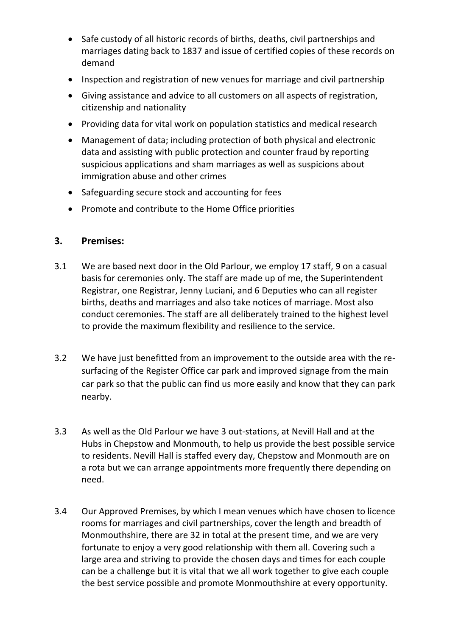- Safe custody of all historic records of births, deaths, civil partnerships and marriages dating back to 1837 and issue of certified copies of these records on demand
- Inspection and registration of new venues for marriage and civil partnership
- Giving assistance and advice to all customers on all aspects of registration, citizenship and nationality
- Providing data for vital work on population statistics and medical research
- Management of data; including protection of both physical and electronic data and assisting with public protection and counter fraud by reporting suspicious applications and sham marriages as well as suspicions about immigration abuse and other crimes
- Safeguarding secure stock and accounting for fees
- Promote and contribute to the Home Office priorities

## **3. Premises:**

- 3.1 We are based next door in the Old Parlour, we employ 17 staff, 9 on a casual basis for ceremonies only. The staff are made up of me, the Superintendent Registrar, one Registrar, Jenny Luciani, and 6 Deputies who can all register births, deaths and marriages and also take notices of marriage. Most also conduct ceremonies. The staff are all deliberately trained to the highest level to provide the maximum flexibility and resilience to the service.
- 3.2 We have just benefitted from an improvement to the outside area with the resurfacing of the Register Office car park and improved signage from the main car park so that the public can find us more easily and know that they can park nearby.
- 3.3 As well as the Old Parlour we have 3 out-stations, at Nevill Hall and at the Hubs in Chepstow and Monmouth, to help us provide the best possible service to residents. Nevill Hall is staffed every day, Chepstow and Monmouth are on a rota but we can arrange appointments more frequently there depending on need.
- 3.4 Our Approved Premises, by which I mean venues which have chosen to licence rooms for marriages and civil partnerships, cover the length and breadth of Monmouthshire, there are 32 in total at the present time, and we are very fortunate to enjoy a very good relationship with them all. Covering such a large area and striving to provide the chosen days and times for each couple can be a challenge but it is vital that we all work together to give each couple the best service possible and promote Monmouthshire at every opportunity.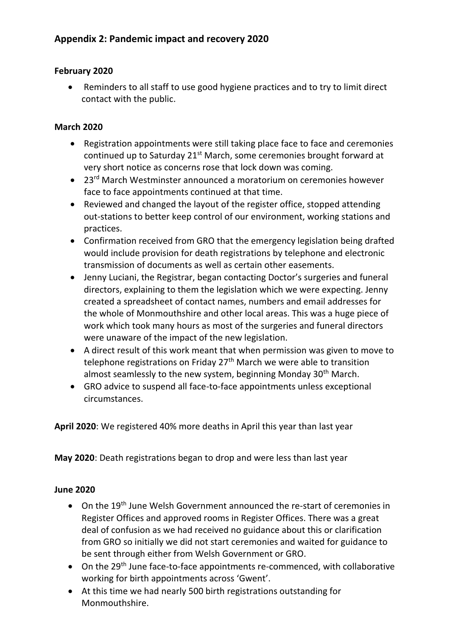## **February 2020**

 Reminders to all staff to use good hygiene practices and to try to limit direct contact with the public.

## **March 2020**

- Registration appointments were still taking place face to face and ceremonies continued up to Saturday 21<sup>st</sup> March, some ceremonies brought forward at very short notice as concerns rose that lock down was coming.
- 23<sup>rd</sup> March Westminster announced a moratorium on ceremonies however face to face appointments continued at that time.
- Reviewed and changed the layout of the register office, stopped attending out-stations to better keep control of our environment, working stations and practices.
- Confirmation received from GRO that the emergency legislation being drafted would include provision for death registrations by telephone and electronic transmission of documents as well as certain other easements.
- Jenny Luciani, the Registrar, began contacting Doctor's surgeries and funeral directors, explaining to them the legislation which we were expecting. Jenny created a spreadsheet of contact names, numbers and email addresses for the whole of Monmouthshire and other local areas. This was a huge piece of work which took many hours as most of the surgeries and funeral directors were unaware of the impact of the new legislation.
- A direct result of this work meant that when permission was given to move to telephone registrations on Friday  $27<sup>th</sup>$  March we were able to transition almost seamlessly to the new system, beginning Monday 30<sup>th</sup> March.
- GRO advice to suspend all face-to-face appointments unless exceptional circumstances.

**April 2020**: We registered 40% more deaths in April this year than last year

**May 2020**: Death registrations began to drop and were less than last year

## **June 2020**

- $\bullet$  On the 19<sup>th</sup> June Welsh Government announced the re-start of ceremonies in Register Offices and approved rooms in Register Offices. There was a great deal of confusion as we had received no guidance about this or clarification from GRO so initially we did not start ceremonies and waited for guidance to be sent through either from Welsh Government or GRO.
- On the 29<sup>th</sup> June face-to-face appointments re-commenced, with collaborative working for birth appointments across 'Gwent'.
- At this time we had nearly 500 birth registrations outstanding for Monmouthshire.